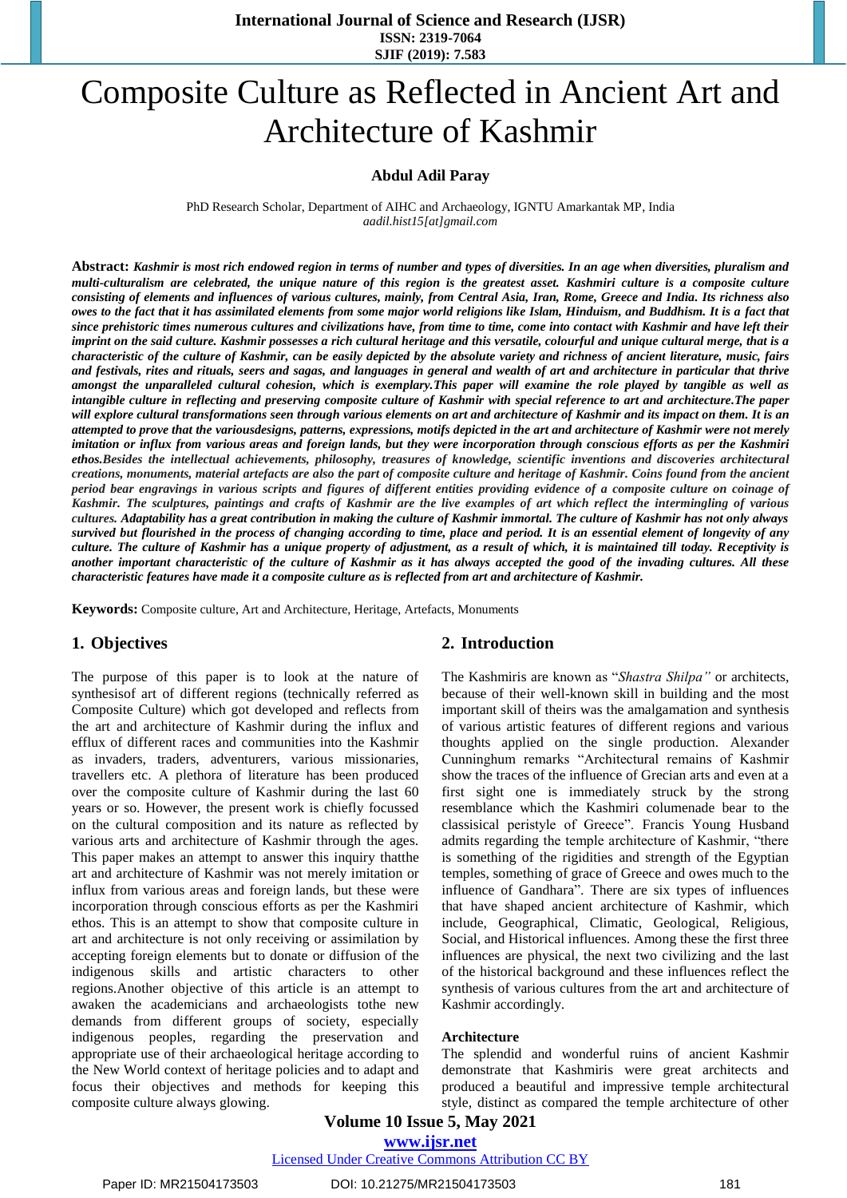# Composite Culture as Reflected in Ancient Art and Architecture of Kashmir

#### **Abdul Adil Paray**

PhD Research Scholar, Department of AIHC and Archaeology, IGNTU Amarkantak MP, India *[aadil.hist15\[at\]gmail.com](mailto:aadil.hist15@gmail.com)*

**Abstract:** *Kashmir is most rich endowed region in terms of number and types of diversities. In an age when diversities, pluralism and multi-culturalism are celebrated, the unique nature of this region is the greatest asset. Kashmiri culture is a composite culture consisting of elements and influences of various cultures, mainly, from Central Asia, Iran, Rome, Greece and India. Its richness also owes to the fact that it has assimilated elements from some major world religions like Islam, Hinduism, and Buddhism. It is a fact that since prehistoric times numerous cultures and civilizations have, from time to time, come into contact with Kashmir and have left their imprint on the said culture. Kashmir possesses a rich cultural heritage and this versatile, colourful and unique cultural merge, that is a characteristic of the culture of Kashmir, can be easily depicted by the absolute variety and richness of ancient literature, music, fairs and festivals, rites and rituals, seers and sagas, and languages in general and wealth of art and architecture in particular that thrive amongst the unparalleled cultural cohesion, which is exemplary.This paper will examine the role played by tangible as well as intangible culture in reflecting and preserving composite culture of Kashmir with special reference to art and architecture.The paper will explore cultural transformations seen through various elements on art and architecture of Kashmir and its impact on them. It is an attempted to prove that the variousdesigns, patterns, expressions, motifs depicted in the art and architecture of Kashmir were not merely imitation or influx from various areas and foreign lands, but they were incorporation through conscious efforts as per the Kashmiri ethos.Besides the intellectual achievements, philosophy, treasures of knowledge, scientific inventions and discoveries architectural creations, monuments, material artefacts are also the part of composite culture and heritage of Kashmir. Coins found from the ancient period bear engravings in various scripts and figures of different entities providing evidence of a composite culture on coinage of Kashmir. The sculptures, paintings and crafts of Kashmir are the live examples of art which reflect the intermingling of various cultures. Adaptability has a great contribution in making the culture of Kashmir immortal. The culture of Kashmir has not only always survived but flourished in the process of changing according to time, place and period. It is an essential element of longevity of any culture. The culture of Kashmir has a unique property of adjustment, as a result of which, it is maintained till today. Receptivity is another important characteristic of the culture of Kashmir as it has always accepted the good of the invading cultures. All these characteristic features have made it a composite culture as is reflected from art and architecture of Kashmir.* 

**Keywords:** Composite culture, Art and Architecture, Heritage, Artefacts, Monuments

#### **1. Objectives**

The purpose of this paper is to look at the nature of synthesisof art of different regions (technically referred as Composite Culture) which got developed and reflects from the art and architecture of Kashmir during the influx and efflux of different races and communities into the Kashmir as invaders, traders, adventurers, various missionaries, travellers etc. A plethora of literature has been produced over the composite culture of Kashmir during the last 60 years or so. However, the present work is chiefly focussed on the cultural composition and its nature as reflected by various arts and architecture of Kashmir through the ages. This paper makes an attempt to answer this inquiry thatthe art and architecture of Kashmir was not merely imitation or influx from various areas and foreign lands, but these were incorporation through conscious efforts as per the Kashmiri ethos. This is an attempt to show that composite culture in art and architecture is not only receiving or assimilation by accepting foreign elements but to donate or diffusion of the indigenous skills and artistic characters to other regions.Another objective of this article is an attempt to awaken the academicians and archaeologists tothe new demands from different groups of society, especially indigenous peoples, regarding the preservation and appropriate use of their archaeological heritage according to the New World context of heritage policies and to adapt and focus their objectives and methods for keeping this composite culture always glowing.

#### **2. Introduction**

The Kashmiris are known as "*Shastra Shilpa"* or architects, because of their well-known skill in building and the most important skill of theirs was the amalgamation and synthesis of various artistic features of different regions and various thoughts applied on the single production. Alexander Cunninghum remarks "Architectural remains of Kashmir show the traces of the influence of Grecian arts and even at a first sight one is immediately struck by the strong resemblance which the Kashmiri columenade bear to the classisical peristyle of Greece". Francis Young Husband admits regarding the temple architecture of Kashmir, "there is something of the rigidities and strength of the Egyptian temples, something of grace of Greece and owes much to the influence of Gandhara". There are six types of influences that have shaped ancient architecture of Kashmir, which include, Geographical, Climatic, Geological, Religious, Social, and Historical influences. Among these the first three influences are physical, the next two civilizing and the last of the historical background and these influences reflect the synthesis of various cultures from the art and architecture of Kashmir accordingly.

#### **Architecture**

The splendid and wonderful ruins of ancient Kashmir demonstrate that Kashmiris were great architects and produced a beautiful and impressive temple architectural style, distinct as compared the temple architecture of other

## **Volume 10 Issue 5, May 2021**

**www.ijsr.net** Licensed Under Creative Commons Attribution CC BY

Paper ID: MR21504173503 DOI: 10.21275/MR21504173503 181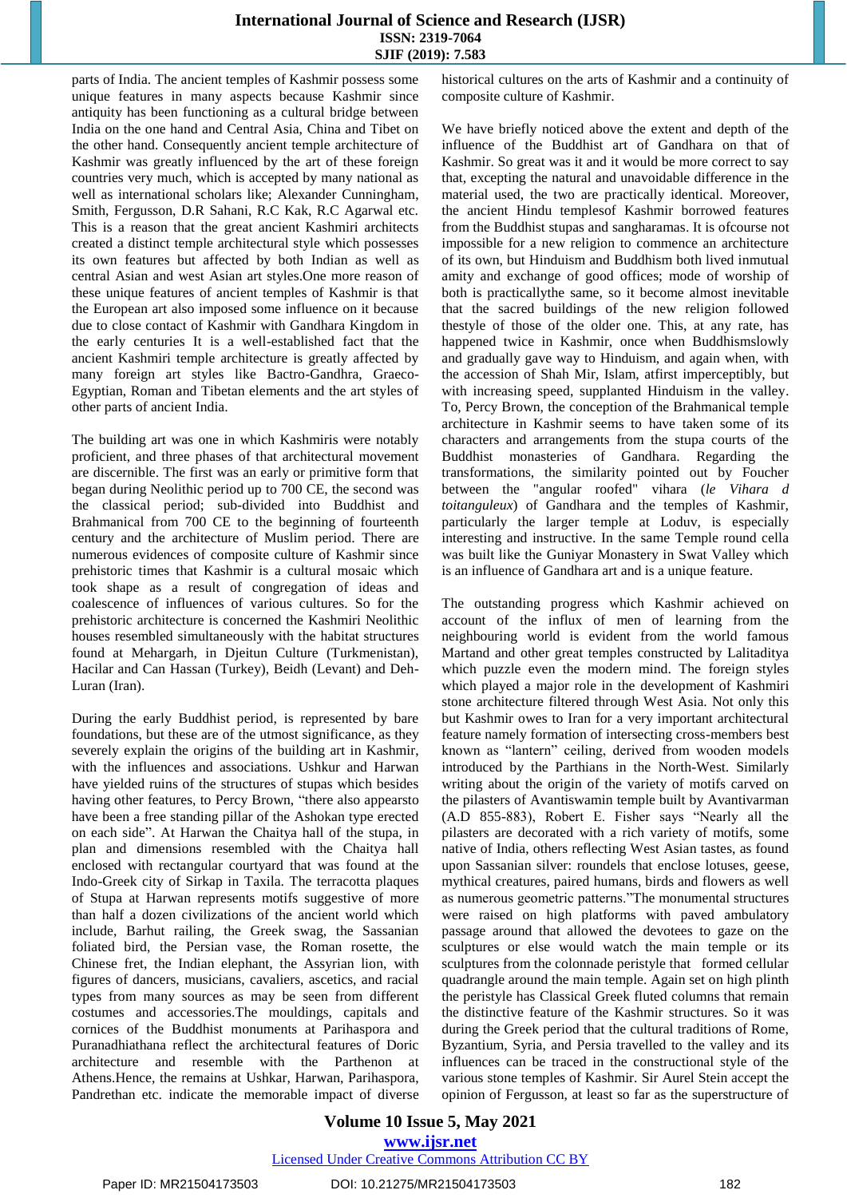parts of India. The ancient temples of Kashmir possess some unique features in many aspects because Kashmir since antiquity has been functioning as a cultural bridge between India on the one hand and Central Asia, China and Tibet on the other hand. Consequently ancient temple architecture of Kashmir was greatly influenced by the art of these foreign countries very much, which is accepted by many national as well as international scholars like; Alexander Cunningham, Smith, Fergusson, D.R Sahani, R.C Kak, R.C Agarwal etc. This is a reason that the great ancient Kashmiri architects created a distinct temple architectural style which possesses its own features but affected by both Indian as well as central Asian and west Asian art styles.One more reason of these unique features of ancient temples of Kashmir is that the European art also imposed some influence on it because due to close contact of Kashmir with Gandhara Kingdom in the early centuries It is a well-established fact that the ancient Kashmiri temple architecture is greatly affected by many foreign art styles like Bactro-Gandhra, Graeco-Egyptian, Roman and Tibetan elements and the art styles of other parts of ancient India.

The building art was one in which Kashmiris were notably proficient, and three phases of that architectural movement are discernible. The first was an early or primitive form that began during Neolithic period up to 700 CE, the second was the classical period; sub-divided into Buddhist and Brahmanical from 700 CE to the beginning of fourteenth century and the architecture of Muslim period. There are numerous evidences of composite culture of Kashmir since prehistoric times that Kashmir is a cultural mosaic which took shape as a result of congregation of ideas and coalescence of influences of various cultures. So for the prehistoric architecture is concerned the Kashmiri Neolithic houses resembled simultaneously with the habitat structures found at Mehargarh, in Djeitun Culture (Turkmenistan), Hacilar and Can Hassan (Turkey), Beidh (Levant) and Deh-Luran (Iran).

During the early Buddhist period, is represented by bare foundations, but these are of the utmost significance, as they severely explain the origins of the building art in Kashmir, with the influences and associations. Ushkur and Harwan have yielded ruins of the structures of stupas which besides having other features, to Percy Brown, "there also appearsto have been a free standing pillar of the Ashokan type erected on each side". At Harwan the Chaitya hall of the stupa, in plan and dimensions resembled with the Chaitya hall enclosed with rectangular courtyard that was found at the Indo-Greek city of Sirkap in Taxila. The terracotta plaques of Stupa at Harwan represents motifs suggestive of more than half a dozen civilizations of the ancient world which include, Barhut railing, the Greek swag, the Sassanian foliated bird, the Persian vase, the Roman rosette, the Chinese fret, the Indian elephant, the Assyrian lion, with figures of dancers, musicians, cavaliers, ascetics, and racial types from many sources as may be seen from different costumes and accessories.The mouldings, capitals and cornices of the Buddhist monuments at Parihaspora and Puranadhiathana reflect the architectural features of Doric architecture and resemble with the Parthenon at Athens.Hence, the remains at Ushkar, Harwan, Parihaspora, Pandrethan etc. indicate the memorable impact of diverse historical cultures on the arts of Kashmir and a continuity of composite culture of Kashmir.

We have briefly noticed above the extent and depth of the influence of the Buddhist art of Gandhara on that of Kashmir. So great was it and it would be more correct to say that, excepting the natural and unavoidable difference in the material used, the two are practically identical. Moreover, the ancient Hindu templesof Kashmir borrowed features from the Buddhist stupas and sangharamas. It is ofcourse not impossible for a new religion to commence an architecture of its own, but Hinduism and Buddhism both lived inmutual amity and exchange of good offices; mode of worship of both is practicallythe same, so it become almost inevitable that the sacred buildings of the new religion followed thestyle of those of the older one. This, at any rate, has happened twice in Kashmir, once when Buddhismslowly and gradually gave way to Hinduism, and again when, with the accession of Shah Mir, Islam, atfirst imperceptibly, but with increasing speed, supplanted Hinduism in the valley. To, Percy Brown, the conception of the Brahmanical temple architecture in Kashmir seems to have taken some of its characters and arrangements from the stupa courts of the Buddhist monasteries of Gandhara. Regarding the transformations, the similarity pointed out by Foucher between the "angular roofed" vihara (*le Vihara d toitanguleux*) of Gandhara and the temples of Kashmir, particularly the larger temple at Loduv, is especially interesting and instructive. In the same Temple round cella was built like the Guniyar Monastery in Swat Valley which is an influence of Gandhara art and is a unique feature.

The outstanding progress which Kashmir achieved on account of the influx of men of learning from the neighbouring world is evident from the world famous Martand and other great temples constructed by Lalitaditya which puzzle even the modern mind. The foreign styles which played a major role in the development of Kashmiri stone architecture filtered through West Asia. Not only this but Kashmir owes to Iran for a very important architectural feature namely formation of intersecting cross-members best known as "lantern" ceiling, derived from wooden models introduced by the Parthians in the North-West. Similarly writing about the origin of the variety of motifs carved on the pilasters of Avantiswamin temple built by Avantivarman (A.D 855-883), Robert E. Fisher says "Nearly all the pilasters are decorated with a rich variety of motifs, some native of India, others reflecting West Asian tastes, as found upon Sassanian silver: roundels that enclose lotuses, geese, mythical creatures, paired humans, birds and flowers as well as numerous geometric patterns."The monumental structures were raised on high platforms with paved ambulatory passage around that allowed the devotees to gaze on the sculptures or else would watch the main temple or its sculptures from the colonnade peristyle that formed cellular quadrangle around the main temple. Again set on high plinth the peristyle has Classical Greek fluted columns that remain the distinctive feature of the Kashmir structures. So it was during the Greek period that the cultural traditions of Rome, Byzantium, Syria, and Persia travelled to the valley and its influences can be traced in the constructional style of the various stone temples of Kashmir. Sir Aurel Stein accept the opinion of Fergusson, at least so far as the superstructure of

**Volume 10 Issue 5, May 2021 www.ijsr.net** Licensed Under Creative Commons Attribution CC BY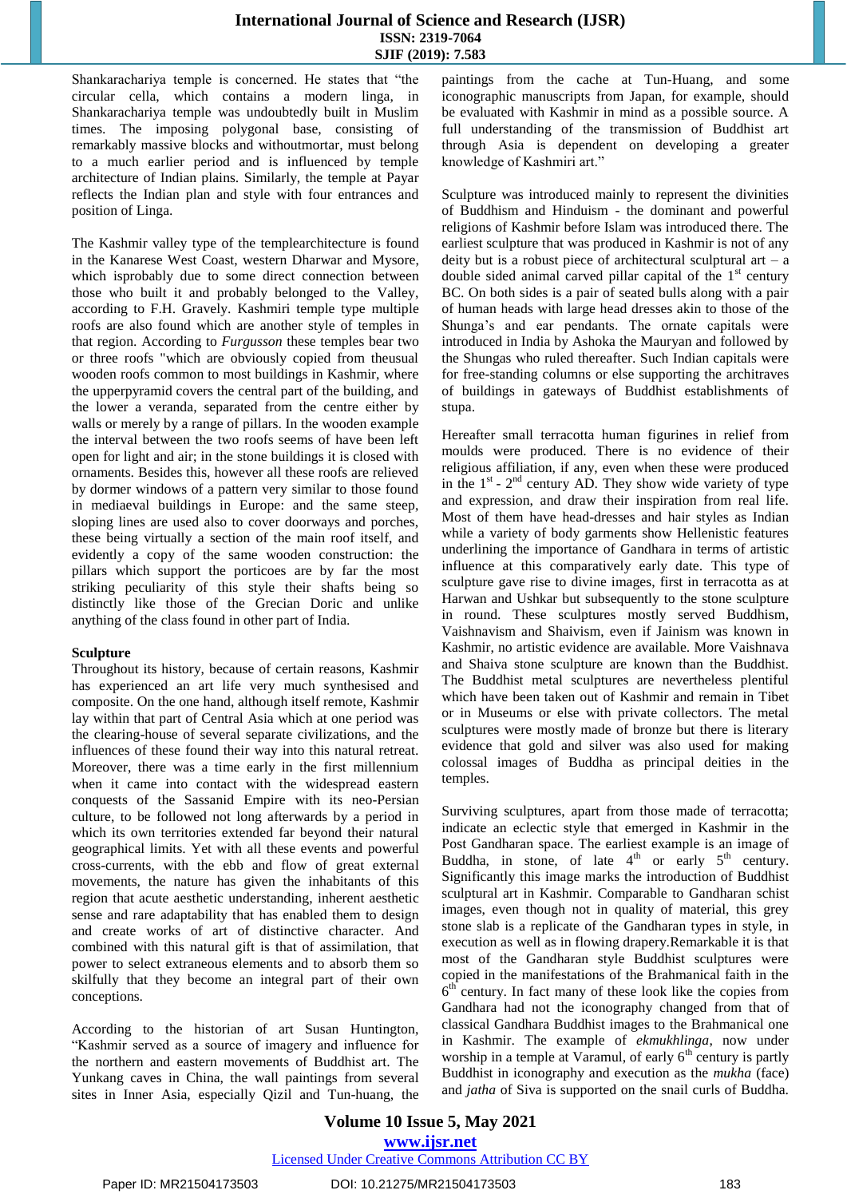Shankarachariya temple is concerned. He states that "the circular cella, which contains a modern linga, in Shankarachariya temple was undoubtedly built in Muslim times. The imposing polygonal base, consisting of remarkably massive blocks and withoutmortar, must belong to a much earlier period and is influenced by temple architecture of Indian plains. Similarly, the temple at Payar reflects the Indian plan and style with four entrances and position of Linga.

The Kashmir valley type of the templearchitecture is found in the Kanarese West Coast, western Dharwar and Mysore, which isprobably due to some direct connection between those who built it and probably belonged to the Valley, according to F.H. Gravely. Kashmiri temple type multiple roofs are also found which are another style of temples in that region. According to *Furgusson* these temples bear two or three roofs "which are obviously copied from theusual wooden roofs common to most buildings in Kashmir, where the upperpyramid covers the central part of the building, and the lower a veranda, separated from the centre either by walls or merely by a range of pillars. In the wooden example the interval between the two roofs seems of have been left open for light and air; in the stone buildings it is closed with ornaments. Besides this, however all these roofs are relieved by dormer windows of a pattern very similar to those found in mediaeval buildings in Europe: and the same steep, sloping lines are used also to cover doorways and porches, these being virtually a section of the main roof itself, and evidently a copy of the same wooden construction: the pillars which support the porticoes are by far the most striking peculiarity of this style their shafts being so distinctly like those of the Grecian Doric and unlike anything of the class found in other part of India.

#### **Sculpture**

Throughout its history, because of certain reasons, Kashmir has experienced an art life very much synthesised and composite. On the one hand, although itself remote, Kashmir lay within that part of Central Asia which at one period was the clearing-house of several separate civilizations, and the influences of these found their way into this natural retreat. Moreover, there was a time early in the first millennium when it came into contact with the widespread eastern conquests of the Sassanid Empire with its neo-Persian culture, to be followed not long afterwards by a period in which its own territories extended far beyond their natural geographical limits. Yet with all these events and powerful cross-currents, with the ebb and flow of great external movements, the nature has given the inhabitants of this region that acute aesthetic understanding, inherent aesthetic sense and rare adaptability that has enabled them to design and create works of art of distinctive character. And combined with this natural gift is that of assimilation, that power to select extraneous elements and to absorb them so skilfully that they become an integral part of their own conceptions.

According to the historian of art Susan Huntington, "Kashmir served as a source of imagery and influence for the northern and eastern movements of Buddhist art. The Yunkang caves in China, the wall paintings from several sites in Inner Asia, especially Qizil and Tun-huang, the

paintings from the cache at Tun-Huang, and some iconographic manuscripts from Japan, for example, should be evaluated with Kashmir in mind as a possible source. A full understanding of the transmission of Buddhist art through Asia is dependent on developing a greater knowledge of Kashmiri art."

Sculpture was introduced mainly to represent the divinities of Buddhism and Hinduism - the dominant and powerful religions of Kashmir before Islam was introduced there. The earliest sculpture that was produced in Kashmir is not of any deity but is a robust piece of architectural sculptural art  $-$  a double sided animal carved pillar capital of the  $1<sup>st</sup>$  century BC. On both sides is a pair of seated bulls along with a pair of human heads with large head dresses akin to those of the Shunga's and ear pendants. The ornate capitals were introduced in India by Ashoka the Mauryan and followed by the Shungas who ruled thereafter. Such Indian capitals were for free-standing columns or else supporting the architraves of buildings in gateways of Buddhist establishments of stupa.

Hereafter small terracotta human figurines in relief from moulds were produced. There is no evidence of their religious affiliation, if any, even when these were produced in the  $1<sup>st</sup>$  -  $2<sup>nd</sup>$  century AD. They show wide variety of type and expression, and draw their inspiration from real life. Most of them have head-dresses and hair styles as Indian while a variety of body garments show Hellenistic features underlining the importance of Gandhara in terms of artistic influence at this comparatively early date. This type of sculpture gave rise to divine images, first in terracotta as at Harwan and Ushkar but subsequently to the stone sculpture in round. These sculptures mostly served Buddhism, Vaishnavism and Shaivism, even if Jainism was known in Kashmir, no artistic evidence are available. More Vaishnava and Shaiva stone sculpture are known than the Buddhist. The Buddhist metal sculptures are nevertheless plentiful which have been taken out of Kashmir and remain in Tibet or in Museums or else with private collectors. The metal sculptures were mostly made of bronze but there is literary evidence that gold and silver was also used for making colossal images of Buddha as principal deities in the temples.

Surviving sculptures, apart from those made of terracotta; indicate an eclectic style that emerged in Kashmir in the Post Gandharan space. The earliest example is an image of Buddha, in stone, of late  $4<sup>th</sup>$  or early  $5<sup>th</sup>$  century. Significantly this image marks the introduction of Buddhist sculptural art in Kashmir. Comparable to Gandharan schist images, even though not in quality of material, this grey stone slab is a replicate of the Gandharan types in style, in execution as well as in flowing drapery.Remarkable it is that most of the Gandharan style Buddhist sculptures were copied in the manifestations of the Brahmanical faith in the  $6<sup>th</sup>$  century. In fact many of these look like the copies from Gandhara had not the iconography changed from that of classical Gandhara Buddhist images to the Brahmanical one in Kashmir. The example of *ekmukhlinga*, now under worship in a temple at Varamul, of early  $6<sup>th</sup>$  century is partly Buddhist in iconography and execution as the *mukha* (face) and *jatha* of Siva is supported on the snail curls of Buddha.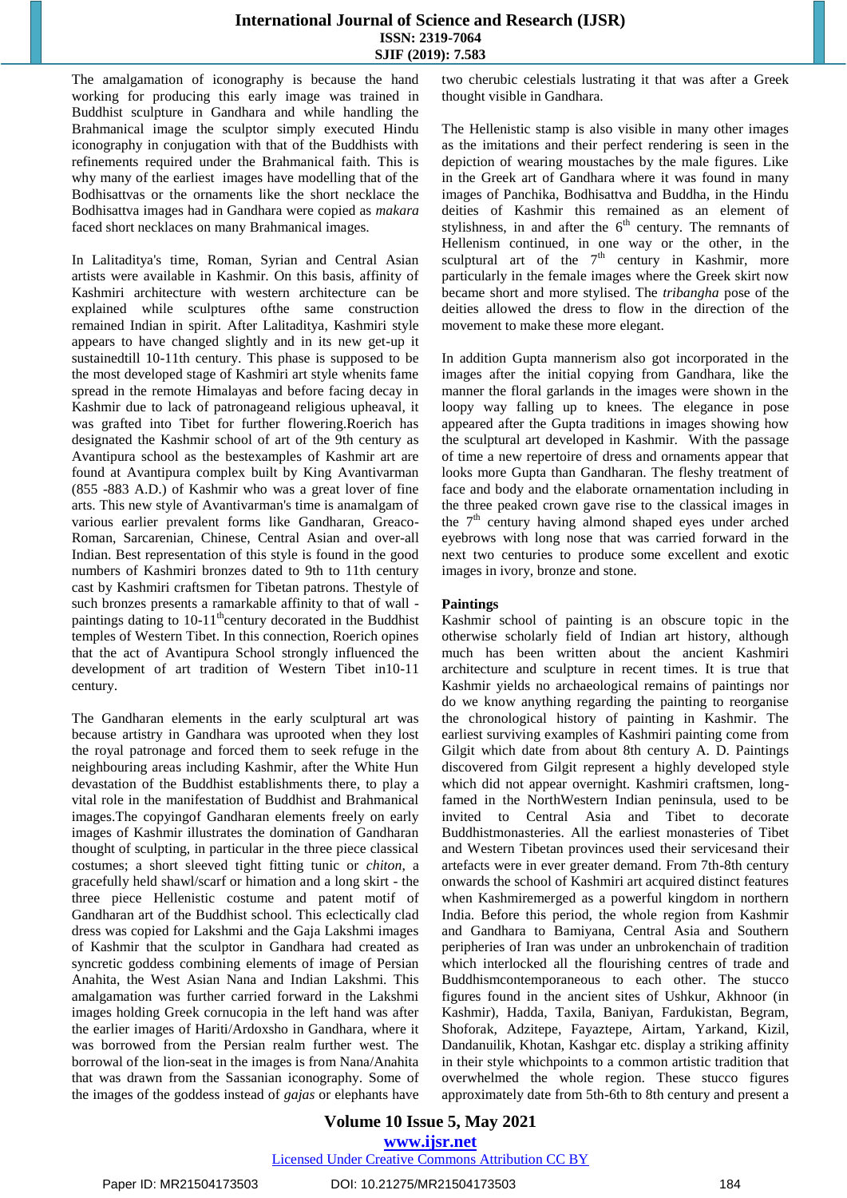The amalgamation of iconography is because the hand working for producing this early image was trained in Buddhist sculpture in Gandhara and while handling the Brahmanical image the sculptor simply executed Hindu iconography in conjugation with that of the Buddhists with refinements required under the Brahmanical faith. This is why many of the earliest images have modelling that of the Bodhisattvas or the ornaments like the short necklace the Bodhisattva images had in Gandhara were copied as *makara* faced short necklaces on many Brahmanical images.

In Lalitaditya's time, Roman, Syrian and Central Asian artists were available in Kashmir. On this basis, affinity of Kashmiri architecture with western architecture can be explained while sculptures ofthe same construction remained Indian in spirit. After Lalitaditya, Kashmiri style appears to have changed slightly and in its new get-up it sustainedtill 10-11th century. This phase is supposed to be the most developed stage of Kashmiri art style whenits fame spread in the remote Himalayas and before facing decay in Kashmir due to lack of patronageand religious upheaval, it was grafted into Tibet for further flowering.Roerich has designated the Kashmir school of art of the 9th century as Avantipura school as the bestexamples of Kashmir art are found at Avantipura complex built by King Avantivarman (855 -883 A.D.) of Kashmir who was a great lover of fine arts. This new style of Avantivarman's time is anamalgam of various earlier prevalent forms like Gandharan, Greaco-Roman, Sarcarenian, Chinese, Central Asian and over-all Indian. Best representation of this style is found in the good numbers of Kashmiri bronzes dated to 9th to 11th century cast by Kashmiri craftsmen for Tibetan patrons. Thestyle of such bronzes presents a ramarkable affinity to that of wall paintings dating to  $10-11^{\text{th}}$ century decorated in the Buddhist temples of Western Tibet. In this connection, Roerich opines that the act of Avantipura School strongly influenced the development of art tradition of Western Tibet in10-11 century.

The Gandharan elements in the early sculptural art was because artistry in Gandhara was uprooted when they lost the royal patronage and forced them to seek refuge in the neighbouring areas including Kashmir, after the White Hun devastation of the Buddhist establishments there, to play a vital role in the manifestation of Buddhist and Brahmanical images.The copyingof Gandharan elements freely on early images of Kashmir illustrates the domination of Gandharan thought of sculpting, in particular in the three piece classical costumes; a short sleeved tight fitting tunic or *chiton*, a gracefully held shawl/scarf or himation and a long skirt - the three piece Hellenistic costume and patent motif of Gandharan art of the Buddhist school. This eclectically clad dress was copied for Lakshmi and the Gaja Lakshmi images of Kashmir that the sculptor in Gandhara had created as syncretic goddess combining elements of image of Persian Anahita, the West Asian Nana and Indian Lakshmi. This amalgamation was further carried forward in the Lakshmi images holding Greek cornucopia in the left hand was after the earlier images of Hariti/Ardoxsho in Gandhara, where it was borrowed from the Persian realm further west. The borrowal of the lion-seat in the images is from Nana/Anahita that was drawn from the Sassanian iconography. Some of the images of the goddess instead of *gajas* or elephants have

two cherubic celestials lustrating it that was after a Greek thought visible in Gandhara.

The Hellenistic stamp is also visible in many other images as the imitations and their perfect rendering is seen in the depiction of wearing moustaches by the male figures. Like in the Greek art of Gandhara where it was found in many images of Panchika, Bodhisattva and Buddha, in the Hindu deities of Kashmir this remained as an element of stylishness, in and after the  $6<sup>th</sup>$  century. The remnants of Hellenism continued, in one way or the other, in the sculptural art of the  $7<sup>th</sup>$  century in Kashmir, more particularly in the female images where the Greek skirt now became short and more stylised. The *tribangha* pose of the deities allowed the dress to flow in the direction of the movement to make these more elegant.

In addition Gupta mannerism also got incorporated in the images after the initial copying from Gandhara, like the manner the floral garlands in the images were shown in the loopy way falling up to knees. The elegance in pose appeared after the Gupta traditions in images showing how the sculptural art developed in Kashmir. With the passage of time a new repertoire of dress and ornaments appear that looks more Gupta than Gandharan. The fleshy treatment of face and body and the elaborate ornamentation including in the three peaked crown gave rise to the classical images in the  $7<sup>th</sup>$  century having almond shaped eyes under arched eyebrows with long nose that was carried forward in the next two centuries to produce some excellent and exotic images in ivory, bronze and stone.

#### **Paintings**

Kashmir school of painting is an obscure topic in the otherwise scholarly field of Indian art history, although much has been written about the ancient Kashmiri architecture and sculpture in recent times. It is true that Kashmir yields no archaeological remains of paintings nor do we know anything regarding the painting to reorganise the chronological history of painting in Kashmir. The earliest surviving examples of Kashmiri painting come from Gilgit which date from about 8th century A. D. Paintings discovered from Gilgit represent a highly developed style which did not appear overnight. Kashmiri craftsmen, longfamed in the NorthWestern Indian peninsula, used to be invited to Central Asia and Tibet to decorate Buddhistmonasteries. All the earliest monasteries of Tibet and Western Tibetan provinces used their servicesand their artefacts were in ever greater demand. From 7th-8th century onwards the school of Kashmiri art acquired distinct features when Kashmiremerged as a powerful kingdom in northern India. Before this period, the whole region from Kashmir and Gandhara to Bamiyana, Central Asia and Southern peripheries of Iran was under an unbrokenchain of tradition which interlocked all the flourishing centres of trade and Buddhismcontemporaneous to each other. The stucco figures found in the ancient sites of Ushkur, Akhnoor (in Kashmir), Hadda, Taxila, Baniyan, Fardukistan, Begram, Shoforak, Adzitepe, Fayaztepe, Airtam, Yarkand, Kizil, Dandanuilik, Khotan, Kashgar etc. display a striking affinity in their style whichpoints to a common artistic tradition that overwhelmed the whole region. These stucco figures approximately date from 5th-6th to 8th century and present a

#### **Volume 10 Issue 5, May 2021 www.ijsr.net** Licensed Under Creative Commons Attribution CC BY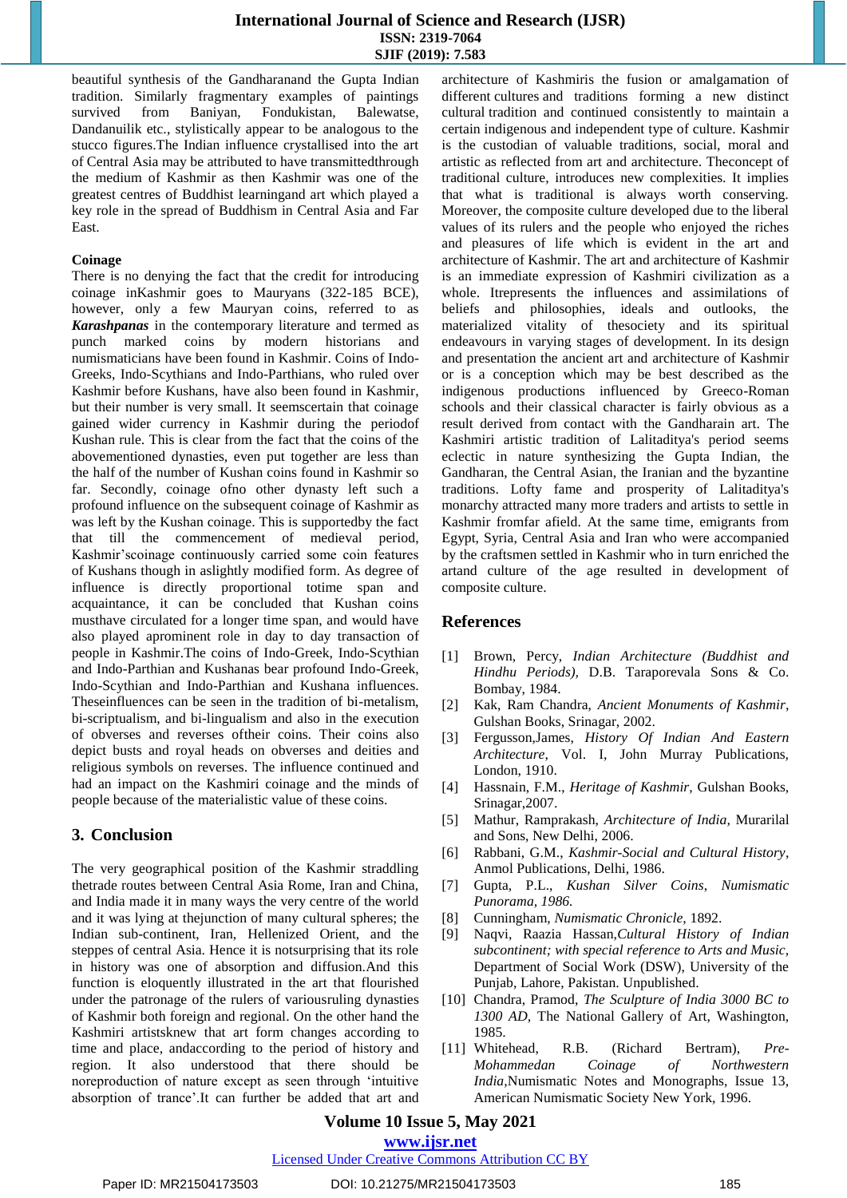beautiful synthesis of the Gandharanand the Gupta Indian tradition. Similarly fragmentary examples of paintings survived from Baniyan, Fondukistan, Balewatse, Dandanuilik etc., stylistically appear to be analogous to the stucco figures.The Indian influence crystallised into the art of Central Asia may be attributed to have transmittedthrough the medium of Kashmir as then Kashmir was one of the greatest centres of Buddhist learningand art which played a key role in the spread of Buddhism in Central Asia and Far East.

#### **Coinage**

There is no denying the fact that the credit for introducing coinage inKashmir goes to Mauryans (322-185 BCE), however, only a few Mauryan coins, referred to as *Karashpanas* in the contemporary literature and termed as punch marked coins by modern historians and numismaticians have been found in Kashmir. Coins of Indo-Greeks, Indo-Scythians and Indo-Parthians, who ruled over Kashmir before Kushans, have also been found in Kashmir, but their number is very small. It seemscertain that coinage gained wider currency in Kashmir during the periodof Kushan rule. This is clear from the fact that the coins of the abovementioned dynasties, even put together are less than the half of the number of Kushan coins found in Kashmir so far. Secondly, coinage ofno other dynasty left such a profound influence on the subsequent coinage of Kashmir as was left by the Kushan coinage. This is supportedby the fact that till the commencement of medieval period, Kashmir"scoinage continuously carried some coin features of Kushans though in aslightly modified form. As degree of influence is directly proportional totime span and acquaintance, it can be concluded that Kushan coins musthave circulated for a longer time span, and would have also played aprominent role in day to day transaction of people in Kashmir.The coins of Indo-Greek, Indo-Scythian and Indo-Parthian and Kushanas bear profound Indo-Greek, Indo-Scythian and Indo-Parthian and Kushana influences. Theseinfluences can be seen in the tradition of bi-metalism, bi-scriptualism, and bi-lingualism and also in the execution of obverses and reverses oftheir coins. Their coins also depict busts and royal heads on obverses and deities and religious symbols on reverses. The influence continued and had an impact on the Kashmiri coinage and the minds of people because of the materialistic value of these coins.

#### **3. Conclusion**

The very geographical position of the Kashmir straddling thetrade routes between Central Asia Rome, Iran and China, and India made it in many ways the very centre of the world and it was lying at thejunction of many cultural spheres; the Indian sub-continent, Iran, Hellenized Orient, and the steppes of central Asia. Hence it is notsurprising that its role in history was one of absorption and diffusion.And this function is eloquently illustrated in the art that flourished under the patronage of the rulers of variousruling dynasties of Kashmir both foreign and regional. On the other hand the Kashmiri artistsknew that art form changes according to time and place, andaccording to the period of history and region. It also understood that there should be noreproduction of nature except as seen through "intuitive absorption of trance".It can further be added that art and architecture of Kashmiris the fusion or amalgamation of different cultures and traditions forming a new distinct cultural tradition and continued consistently to maintain a certain indigenous and independent type of culture. Kashmir is the custodian of valuable traditions, social, moral and artistic as reflected from art and architecture. Theconcept of traditional culture, introduces new complexities. It implies that what is traditional is always worth conserving. Moreover, the composite culture developed due to the liberal values of its rulers and the people who enjoyed the riches and pleasures of life which is evident in the art and architecture of Kashmir. The art and architecture of Kashmir is an immediate expression of Kashmiri civilization as a whole. Itrepresents the influences and assimilations of beliefs and philosophies, ideals and outlooks, the materialized vitality of thesociety and its spiritual endeavours in varying stages of development. In its design and presentation the ancient art and architecture of Kashmir or is a conception which may be best described as the indigenous productions influenced by Greeco-Roman schools and their classical character is fairly obvious as a result derived from contact with the Gandharain art. The Kashmiri artistic tradition of Lalitaditya's period seems eclectic in nature synthesizing the Gupta Indian, the Gandharan, the Central Asian, the Iranian and the byzantine traditions. Lofty fame and prosperity of Lalitaditya's monarchy attracted many more traders and artists to settle in Kashmir fromfar afield. At the same time, emigrants from Egypt, Syria, Central Asia and Iran who were accompanied by the craftsmen settled in Kashmir who in turn enriched the artand culture of the age resulted in development of composite culture.

#### **References**

- [1] Brown, Percy, *Indian Architecture (Buddhist and Hindhu Periods),* D.B. Taraporevala Sons & Co. Bombay, 1984.
- [2] Kak, Ram Chandra, *Ancient Monuments of Kashmir*, Gulshan Books, Srinagar, 2002.
- [3] Fergusson,James, *History Of Indian And Eastern Architecture*, Vol. I, John Murray Publications, London, 1910.
- [4] Hassnain, F.M., *Heritage of Kashmir,* Gulshan Books, Srinagar,2007.
- [5] Mathur, Ramprakash, *Architecture of India,* Murarilal and Sons, New Delhi, 2006.
- [6] Rabbani, G.M., *Kashmir-Social and Cultural History*, Anmol Publications, Delhi, 1986.
- [7] Gupta, P.L., *Kushan Silver Coins*, *Numismatic Punorama, 1986.*
- [8] Cunningham, *Numismatic Chronicle,* 1892.
- [9] Naqvi, Raazia Hassan,*Cultural History of Indian subcontinent; with special reference to Arts and Music,*  Department of Social Work (DSW), University of the Punjab, Lahore, Pakistan. Unpublished.
- [10] Chandra, Pramod, *The Sculpture of India 3000 BC to 1300 AD,* The National Gallery of Art, Washington, 1985.
- [11] Whitehead, R.B. (Richard Bertram), *Pre-Mohammedan Coinage of Northwestern India,*Numismatic Notes and Monographs, Issue 13, American Numismatic Society New York, 1996.

### **Volume 10 Issue 5, May 2021**

#### **www.ijsr.net**

#### Licensed Under Creative Commons Attribution CC BY